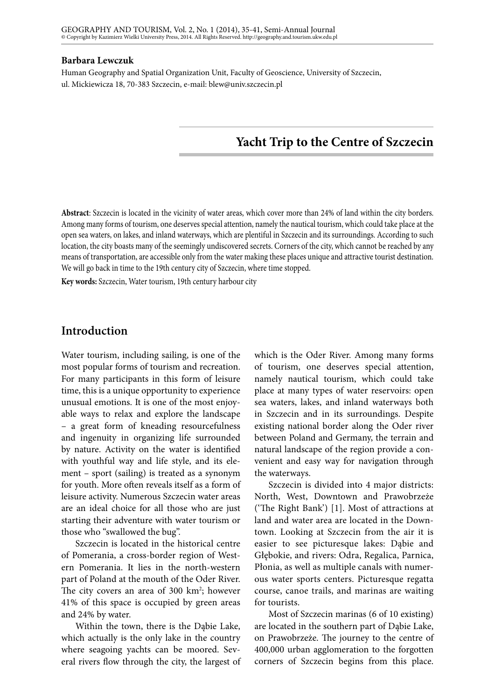#### **Barbara Lewczuk**

Human Geography and Spatial Organization Unit, Faculty of Geoscience, University of Szczecin, ul. Mickiewicza 18, 70-383 Szczecin, e-mail: blew@univ.szczecin.pl

# **Yacht Trip to the Centre of Szczecin**

**Abstract**: Szczecin is located in the vicinity of water areas, which cover more than 24% of land within the city borders. Among many forms of tourism, one deserves special attention, namely the nautical tourism, which could take place at the open sea waters, on lakes, and inland waterways, which are plentiful in Szczecin and its surroundings. According to such location, the city boasts many of the seemingly undiscovered secrets. Corners of the city, which cannot be reached by any means of transportation, are accessible only from the water making these places unique and attractive tourist destination. We will go back in time to the 19th century city of Szczecin, where time stopped.

**Key words:** Szczecin, Water tourism, 19th century harbour city

# **Introduction**

Water tourism, including sailing, is one of the most popular forms of tourism and recreation. For many participants in this form of leisure time, this is a unique opportunity to experience unusual emotions. It is one of the most enjoyable ways to relax and explore the landscape – a great form of kneading resourcefulness and ingenuity in organizing life surrounded by nature. Activity on the water is identified with youthful way and life style, and its element – sport (sailing) is treated as a synonym for youth. More often reveals itself as a form of leisure activity. Numerous Szczecin water areas are an ideal choice for all those who are just starting their adventure with water tourism or those who "swallowed the bug".

Szczecin is located in the historical centre of Pomerania, a cross-border region of Western Pomerania. It lies in the north-western part of Poland at the mouth of the Oder River. The city covers an area of 300 km<sup>2</sup>; however 41% of this space is occupied by green areas and 24% by water.

Within the town, there is the Dąbie Lake, which actually is the only lake in the country where seagoing yachts can be moored. Several rivers flow through the city, the largest of which is the Oder River. Among many forms of tourism, one deserves special attention, namely nautical tourism, which could take place at many types of water reservoirs: open sea waters, lakes, and inland waterways both in Szczecin and in its surroundings. Despite existing national border along the Oder river between Poland and Germany, the terrain and natural landscape of the region provide a convenient and easy way for navigation through the waterways.

Szczecin is divided into 4 major districts: North, West, Downtown and Prawobrzeże ('The Right Bank') [1]. Most of attractions at land and water area are located in the Downtown. Looking at Szczecin from the air it is easier to see picturesque lakes: Dąbie and Głębokie, and rivers: Odra, Regalica, Parnica, Płonia, as well as multiple canals with numerous water sports centers. Picturesque regatta course, canoe trails, and marinas are waiting for tourists.

Most of Szczecin marinas (6 of 10 existing) are located in the southern part of Dąbie Lake, on Prawobrzeże. The journey to the centre of 400,000 urban agglomeration to the forgotten corners of Szczecin begins from this place.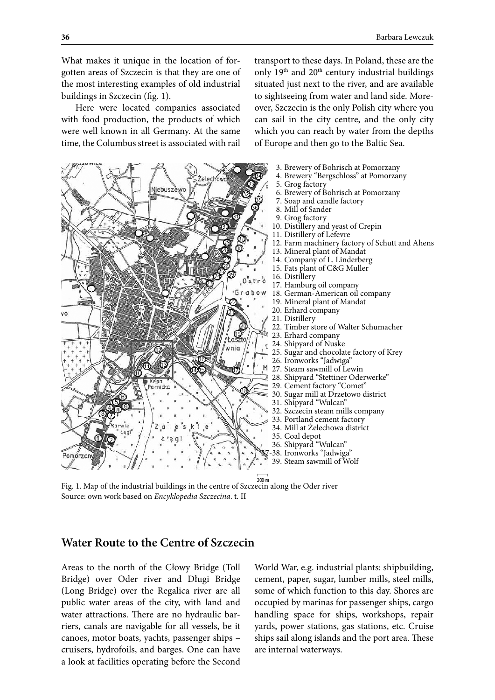What makes it unique in the location of forgotten areas of Szczecin is that they are one of the most interesting examples of old industrial buildings in Szczecin (fig. 1).

Here were located companies associated with food production, the products of which were well known in all Germany. At the same time, the Columbus street is associated with rail

transport to these days. In Poland, these are the only 19<sup>th</sup> and 20<sup>th</sup> century industrial buildings situated just next to the river, and are available to sightseeing from water and land side. Moreover, Szczecin is the only Polish city where you can sail in the city centre, and the only city which you can reach by water from the depths of Europe and then go to the Baltic Sea.



Fig. 1. Map of the industrial buildings in the centre of Szczecin along the Oder river Source: own work based on *Encyklopedia Szczecina*. t. II

# **Water Route to the Centre of Szczecin**

Areas to the north of the Cłowy Bridge (Toll Bridge) over Oder river and Długi Bridge (Long Bridge) over the Regalica river are all public water areas of the city, with land and water attractions. There are no hydraulic barriers, canals are navigable for all vessels, be it canoes, motor boats, yachts, passenger ships – cruisers, hydrofoils, and barges. One can have a look at facilities operating before the Second

World War, e.g. industrial plants: shipbuilding, cement, paper, sugar, lumber mills, steel mills, some of which function to this day. Shores are occupied by marinas for passenger ships, cargo handling space for ships, workshops, repair yards, power stations, gas stations, etc. Cruise ships sail along islands and the port area. These are internal waterways.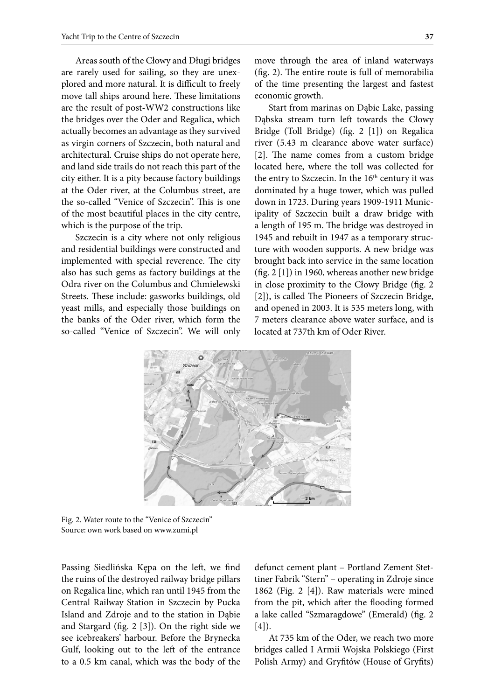Areas south of the Cłowy and Długi bridges are rarely used for sailing, so they are unexplored and more natural. It is difficult to freely move tall ships around here. These limitations are the result of post-WW2 constructions like the bridges over the Oder and Regalica, which actually becomes an advantage as they survived as virgin corners of Szczecin, both natural and architectural. Cruise ships do not operate here, and land side trails do not reach this part of the city either. It is a pity because factory buildings at the Oder river, at the Columbus street, are the so-called "Venice of Szczecin". This is one of the most beautiful places in the city centre, which is the purpose of the trip.

Szczecin is a city where not only religious and residential buildings were constructed and implemented with special reverence. The city also has such gems as factory buildings at the Odra river on the Columbus and Chmielewski Streets. These include: gasworks buildings, old yeast mills, and especially those buildings on the banks of the Oder river, which form the so-called "Venice of Szczecin". We will only move through the area of inland waterways (fig. 2). The entire route is full of memorabilia of the time presenting the largest and fastest economic growth.

Start from marinas on Dąbie Lake, passing Dąbska stream turn left towards the Cłowy Bridge (Toll Bridge) (fig. 2 [1]) on Regalica river (5.43 m clearance above water surface) [2]. The name comes from a custom bridge located here, where the toll was collected for the entry to Szczecin. In the 16<sup>th</sup> century it was dominated by a huge tower, which was pulled down in 1723. During years 1909-1911 Municipality of Szczecin built a draw bridge with a length of 195 m. The bridge was destroyed in 1945 and rebuilt in 1947 as a temporary structure with wooden supports. A new bridge was brought back into service in the same location (fig. 2 [1]) in 1960, whereas another new bridge in close proximity to the Cłowy Bridge (fig. 2 [2]), is called The Pioneers of Szczecin Bridge, and opened in 2003. It is 535 meters long, with 7 meters clearance above water surface, and is located at 737th km of Oder River.



Fig. 2. Water route to the "Venice of Szczecin" Source: own work based on www.zumi.pl

Passing Siedlińska Kępa on the left, we find the ruins of the destroyed railway bridge pillars on Regalica line, which ran until 1945 from the Central Railway Station in Szczecin by Pucka Island and Zdroje and to the station in Dąbie and Stargard (fig. 2 [3]). On the right side we see icebreakers' harbour. Before the Brynecka Gulf, looking out to the left of the entrance to a 0.5 km canal, which was the body of the defunct cement plant – Portland Zement Stettiner Fabrik "Stern" – operating in Zdroje since 1862 (Fig. 2 [4]). Raw materials were mined from the pit, which after the flooding formed a lake called "Szmaragdowe" (Emerald) (fig. 2  $[4]$ ).

At 735 km of the Oder, we reach two more bridges called I Armii Wojska Polskiego (First Polish Army) and Gryfitów (House of Gryfits)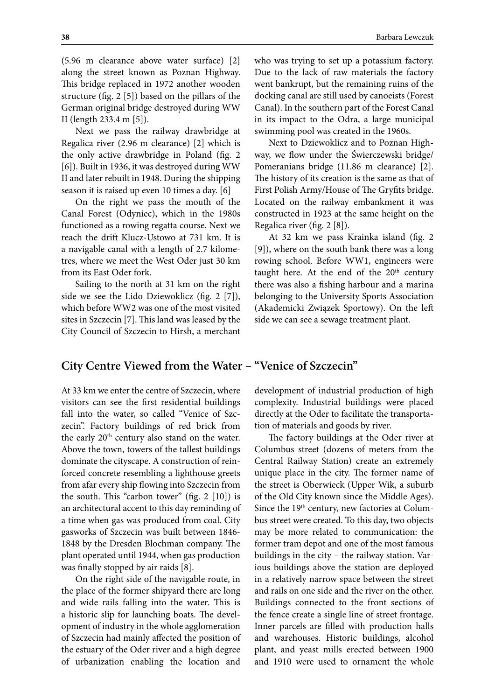(5.96 m clearance above water surface) [2] along the street known as Poznan Highway. This bridge replaced in 1972 another wooden structure (fig. 2 [5]) based on the pillars of the German original bridge destroyed during WW II (length 233.4 m [5]).

Next we pass the railway drawbridge at Regalica river (2.96 m clearance) [2] which is the only active drawbridge in Poland (fig. 2 [6]). Built in 1936, it was destroyed during WW II and later rebuilt in 1948. During the shipping season it is raised up even 10 times a day. [6]

On the right we pass the mouth of the Canal Forest (Odyniec), which in the 1980s functioned as a rowing regatta course. Next we reach the drift Klucz-Ustowo at 731 km. It is a navigable canal with a length of 2.7 kilometres, where we meet the West Oder just 30 km from its East Oder fork.

Sailing to the north at 31 km on the right side we see the Lido Dziewoklicz (fig. 2 [7]), which before WW2 was one of the most visited sites in Szczecin [7]. This land was leased by the City Council of Szczecin to Hirsh, a merchant who was trying to set up a potassium factory. Due to the lack of raw materials the factory went bankrupt, but the remaining ruins of the docking canal are still used by canoeists (Forest Canal). In the southern part of the Forest Canal in its impact to the Odra, a large municipal swimming pool was created in the 1960s.

Next to Dziewoklicz and to Poznan Highway, we flow under the Świerczewski bridge/ Pomeranians bridge (11.86 m clearance) [2]. The history of its creation is the same as that of First Polish Army/House of The Gryfits bridge. Located on the railway embankment it was constructed in 1923 at the same height on the Regalica river (fig. 2 [8]).

At 32 km we pass Krainka island (fig. 2 [9]), where on the south bank there was a long rowing school. Before WW1, engineers were taught here. At the end of the 20<sup>th</sup> century there was also a fishing harbour and a marina belonging to the University Sports Association (Akademicki Związek Sportowy). On the left side we can see a sewage treatment plant.

# **City Centre Viewed from the Water – "Venice of Szczecin"**

At 33 km we enter the centre of Szczecin, where visitors can see the first residential buildings fall into the water, so called "Venice of Szczecin". Factory buildings of red brick from the early 20<sup>th</sup> century also stand on the water. Above the town, towers of the tallest buildings dominate the cityscape. A construction of reinforced concrete resembling a lighthouse greets from afar every ship flowing into Szczecin from the south. This "carbon tower" (fig. 2 [10]) is an architectural accent to this day reminding of a time when gas was produced from coal. City gasworks of Szczecin was built between 1846- 1848 by the Dresden Blochman company. The plant operated until 1944, when gas production was finally stopped by air raids [8].

On the right side of the navigable route, in the place of the former shipyard there are long and wide rails falling into the water. This is a historic slip for launching boats. The development of industry in the whole agglomeration of Szczecin had mainly affected the position of the estuary of the Oder river and a high degree of urbanization enabling the location and

development of industrial production of high complexity. Industrial buildings were placed directly at the Oder to facilitate the transportation of materials and goods by river.

The factory buildings at the Oder river at Columbus street (dozens of meters from the Central Railway Station) create an extremely unique place in the city. The former name of the street is Oberwieck (Upper Wik, a suburb of the Old City known since the Middle Ages). Since the 19<sup>th</sup> century, new factories at Columbus street were created. To this day, two objects may be more related to communication: the former tram depot and one of the most famous buildings in the city – the railway station. Various buildings above the station are deployed in a relatively narrow space between the street and rails on one side and the river on the other. Buildings connected to the front sections of the fence create a single line of street frontage. Inner parcels are filled with production halls and warehouses. Historic buildings, alcohol plant, and yeast mills erected between 1900 and 1910 were used to ornament the whole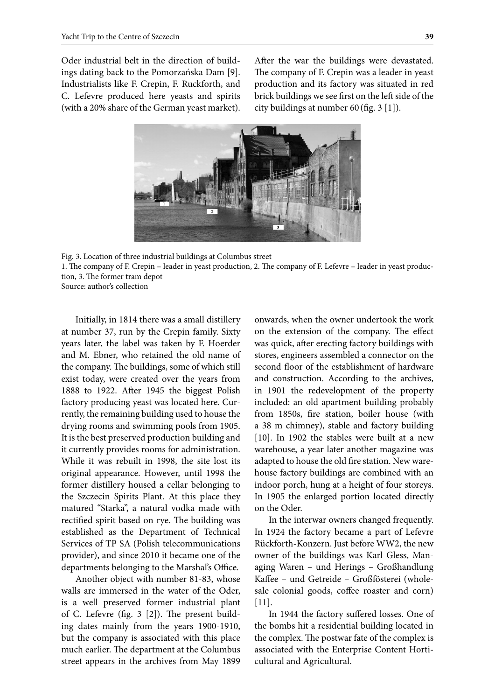Oder industrial belt in the direction of buildings dating back to the Pomorzańska Dam [9]. Industrialists like F. Crepin, F. Ruckforth, and C. Lefevre produced here yeasts and spirits (with a 20% share of the German yeast market). After the war the buildings were devastated. The company of F. Crepin was a leader in yeast production and its factory was situated in red brick buildings we see first on the left side of the city buildings at number 60 (fig. 3 [1]).



Fig. 3. Location of three industrial buildings at Columbus street 1. The company of F. Crepin – leader in yeast production, 2. The company of F. Lefevre – leader in yeast production, 3. The former tram depot Source: author's collection

Initially, in 1814 there was a small distillery at number 37, run by the Crepin family. Sixty years later, the label was taken by F. Hoerder and M. Ebner, who retained the old name of the company. The buildings, some of which still exist today, were created over the years from 1888 to 1922. After 1945 the biggest Polish factory producing yeast was located here. Currently, the remaining building used to house the drying rooms and swimming pools from 1905. It is the best preserved production building and it currently provides rooms for administration. While it was rebuilt in 1998, the site lost its original appearance. However, until 1998 the former distillery housed a cellar belonging to the Szczecin Spirits Plant. At this place they matured "Starka", a natural vodka made with rectified spirit based on rye. The building was established as the Department of Technical Services of TP SA (Polish telecommunications provider), and since 2010 it became one of the departments belonging to the Marshal's Office.

Another object with number 81-83, whose walls are immersed in the water of the Oder, is a well preserved former industrial plant of C. Lefevre (fig. 3 [2]). The present building dates mainly from the years 1900-1910, but the company is associated with this place much earlier. The department at the Columbus street appears in the archives from May 1899 onwards, when the owner undertook the work on the extension of the company. The effect was quick, after erecting factory buildings with stores, engineers assembled a connector on the second floor of the establishment of hardware and construction. According to the archives, in 1901 the redevelopment of the property included: an old apartment building probably from 1850s, fire station, boiler house (with a 38 m chimney), stable and factory building [10]. In 1902 the stables were built at a new warehouse, a year later another magazine was adapted to house the old fire station. New warehouse factory buildings are combined with an indoor porch, hung at a height of four storeys. In 1905 the enlarged portion located directly on the Oder.

In the interwar owners changed frequently. In 1924 the factory became a part of Lefevre Rückforth-Konzern. Just before WW2, the new owner of the buildings was Karl Gless, Managing Waren – und Herings – Großhandlung Kaffee – und Getreide – Großfösterei (wholesale colonial goods, coffee roaster and corn) [11].

In 1944 the factory suffered losses. One of the bombs hit a residential building located in the complex. The postwar fate of the complex is associated with the Enterprise Content Horticultural and Agricultural.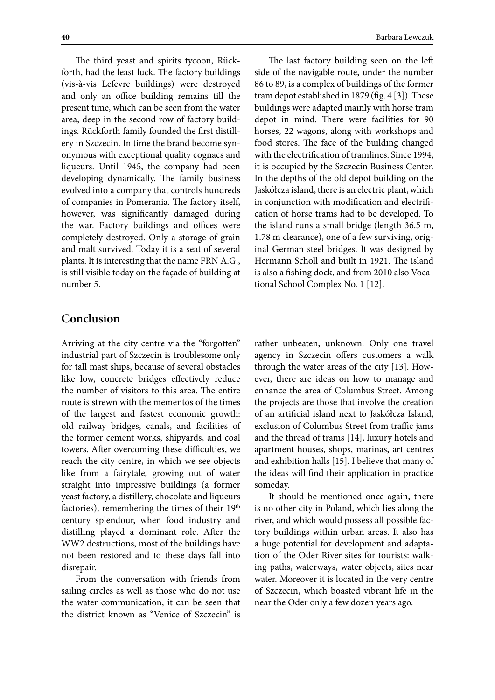The third yeast and spirits tycoon, Rückforth, had the least luck. The factory buildings (vis-à-vis Lefevre buildings) were destroyed and only an office building remains till the present time, which can be seen from the water area, deep in the second row of factory buildings. Rückforth family founded the first distillery in Szczecin. In time the brand become synonymous with exceptional quality cognacs and liqueurs. Until 1945, the company had been developing dynamically. The family business evolved into a company that controls hundreds of companies in Pomerania. The factory itself, however, was significantly damaged during the war. Factory buildings and offices were completely destroyed. Only a storage of grain and malt survived. Today it is a seat of several plants. It is interesting that the name FRN A.G., is still visible today on the façade of building at number 5.

#### **Conclusion**

Arriving at the city centre via the "forgotten" industrial part of Szczecin is troublesome only for tall mast ships, because of several obstacles like low, concrete bridges effectively reduce the number of visitors to this area. The entire route is strewn with the mementos of the times of the largest and fastest economic growth: old railway bridges, canals, and facilities of the former cement works, shipyards, and coal towers. After overcoming these difficulties, we reach the city centre, in which we see objects like from a fairytale, growing out of water straight into impressive buildings (a former yeast factory, a distillery, chocolate and liqueurs factories), remembering the times of their 19<sup>th</sup> century splendour, when food industry and distilling played a dominant role. After the WW2 destructions, most of the buildings have not been restored and to these days fall into disrepair.

From the conversation with friends from sailing circles as well as those who do not use the water communication, it can be seen that the district known as "Venice of Szczecin" is

The last factory building seen on the left side of the navigable route, under the number 86 to 89, is a complex of buildings of the former tram depot established in 1879 (fig. 4 [3]). These buildings were adapted mainly with horse tram depot in mind. There were facilities for 90 horses, 22 wagons, along with workshops and food stores. The face of the building changed with the electrification of tramlines. Since 1994, it is occupied by the Szczecin Business Center. In the depths of the old depot building on the Jaskółcza island, there is an electric plant, which in conjunction with modification and electrification of horse trams had to be developed. To the island runs a small bridge (length 36.5 m, 1.78 m clearance), one of a few surviving, original German steel bridges. It was designed by Hermann Scholl and built in 1921. The island is also a fishing dock, and from 2010 also Vocational School Complex No. 1 [12].

rather unbeaten, unknown. Only one travel agency in Szczecin offers customers a walk through the water areas of the city [13]. However, there are ideas on how to manage and enhance the area of Columbus Street. Among the projects are those that involve the creation of an artificial island next to Jaskółcza Island, exclusion of Columbus Street from traffic jams and the thread of trams [14], luxury hotels and apartment houses, shops, marinas, art centres and exhibition halls [15]. I believe that many of the ideas will find their application in practice someday.

It should be mentioned once again, there is no other city in Poland, which lies along the river, and which would possess all possible factory buildings within urban areas. It also has a huge potential for development and adaptation of the Oder River sites for tourists: walking paths, waterways, water objects, sites near water. Moreover it is located in the very centre of Szczecin, which boasted vibrant life in the near the Oder only a few dozen years ago.